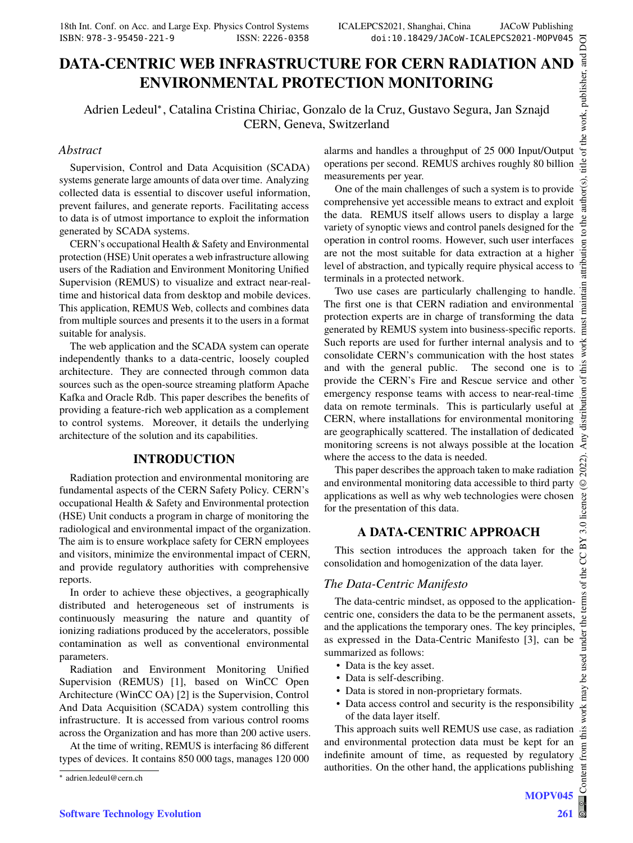# **DATA-CENTRIC WEB INFRASTRUCTURE FOR CERN RADIATION AND ENVIRONMENTAL PROTECTION MONITORING**

Adrien Ledeul<sup>∗</sup> , Catalina Cristina Chiriac, Gonzalo de la Cruz, Gustavo Segura, Jan Sznajd CERN, Geneva, Switzerland

### *Abstract*

Supervision, Control and Data Acquisition (SCADA) systems generate large amounts of data over time. Analyzing collected data is essential to discover useful information, prevent failures, and generate reports. Facilitating access to data is of utmost importance to exploit the information generated by SCADA systems.

CERN's occupational Health & Safety and Environmental protection (HSE) Unit operates a web infrastructure allowing users of the Radiation and Environment Monitoring Unified Supervision (REMUS) to visualize and extract near-realtime and historical data from desktop and mobile devices. This application, REMUS Web, collects and combines data from multiple sources and presents it to the users in a format suitable for analysis.

The web application and the SCADA system can operate independently thanks to a data-centric, loosely coupled architecture. They are connected through common data sources such as the open-source streaming platform Apache Kafka and Oracle Rdb. This paper describes the benefits of providing a feature-rich web application as a complement to control systems. Moreover, it details the underlying architecture of the solution and its capabilities.

## **INTRODUCTION**

Radiation protection and environmental monitoring are fundamental aspects of the CERN Safety Policy. CERN's occupational Health & Safety and Environmental protection (HSE) Unit conducts a program in charge of monitoring the radiological and environmental impact of the organization. The aim is to ensure workplace safety for CERN employees and visitors, minimize the environmental impact of CERN, and provide regulatory authorities with comprehensive reports.

In order to achieve these objectives, a geographically distributed and heterogeneous set of instruments is continuously measuring the nature and quantity of ionizing radiations produced by the accelerators, possible contamination as well as conventional environmental parameters.

Radiation and Environment Monitoring Unified Supervision (REMUS) [1], based on WinCC Open Architecture (WinCC OA) [2] is the Supervision, Control And Data Acquisition (SCADA) system controlling this infrastructure. It is accessed from various control rooms across the Organization and has more than 200 active users.

At the time of writing, REMUS is interfacing 86 different types of devices. It contains 850 000 tags, manages 120 000 alarms and handles a throughput of 25 000 Input/Output operations per second. REMUS archives roughly 80 billion measurements per year.

One of the main challenges of such a system is to provide comprehensive yet accessible means to extract and exploit the data. REMUS itself allows users to display a large variety of synoptic views and control panels designed for the operation in control rooms. However, such user interfaces are not the most suitable for data extraction at a higher level of abstraction, and typically require physical access to terminals in a protected network.

Two use cases are particularly challenging to handle. The first one is that CERN radiation and environmental protection experts are in charge of transforming the data generated by REMUS system into business-specific reports. Such reports are used for further internal analysis and to consolidate CERN's communication with the host states and with the general public. The second one is to provide the CERN's Fire and Rescue service and other emergency response teams with access to near-real-time data on remote terminals. This is particularly useful at CERN, where installations for environmental monitoring are geographically scattered. The installation of dedicated monitoring screens is not always possible at the location where the access to the data is needed.

This paper describes the approach taken to make radiation and environmental monitoring data accessible to third party applications as well as why web technologies were chosen for the presentation of this data.

# **A DATA-CENTRIC APPROACH**

This section introduces the approach taken for the consolidation and homogenization of the data layer.

## *The Data-Centric Manifesto*

The data-centric mindset, as opposed to the applicationcentric one, considers the data to be the permanent assets, and the applications the temporary ones. The key principles, as expressed in the Data-Centric Manifesto [3], can be summarized as follows:

- Data is the key asset.
- Data is self-describing.
- Data is stored in non-proprietary formats.
- Data access control and security is the responsibility of the data layer itself.

This approach suits well REMUS use case, as radiation and environmental protection data must be kept for an indefinite amount of time, as requested by regulatory authorities. On the other hand, the applications publishing

<sup>∗</sup> adrien.ledeul@cern.ch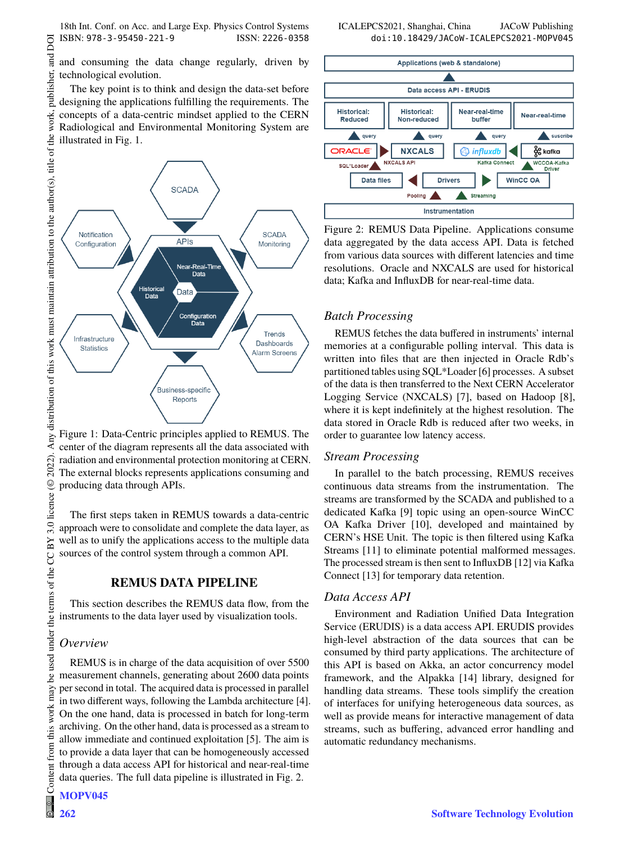18th Int. Conf. on Acc. and Large Exp. Physics Control Systems ICALEPCS2021, Shanghai, China JACoW Publishing ISBN: 978-3-95450-221-9 ISSN: 2226-0358 doi:10.18429/JACoW-ICALEPCS2021-MOPV045

DOI  $\overline{a}$ 

publisher,

work,

The key point is to think and design the data-set before designing the applications fulfilling the requirements. The concepts of a data-centric mindset applied to the CERN Radiological and Environmental Monitoring System are illustrated in Fig. 1.



Figure 1: Data-Centric principles applied to REMUS. The center of the diagram represents all the data associated with radiation and environmental protection monitoring at CERN. The external blocks represents applications consuming and producing data through APIs.

The first steps taken in REMUS towards a data-centric approach were to consolidate and complete the data layer, as well as to unify the applications access to the multiple data sources of the control system through a common API.

#### **REMUS DATA PIPELINE**

This section describes the REMUS data flow, from the instruments to the data layer used by visualization tools.

### *Overview*

2022).  $@$ 

3.0 licence

be used under the terms of the CC BY

work may

this from

REMUS is in charge of the data acquisition of over 5500 measurement channels, generating about 2600 data points per second in total. The acquired data is processed in parallel in two different ways, following the Lambda architecture [4]. On the one hand, data is processed in batch for long-term archiving. On the other hand, data is processed as a stream to allow immediate and continued exploitation [5]. The aim is to provide a data layer that can be homogeneously accessed through a data access API for historical and near-real-time data queries. The full data pipeline is illustrated in Fig. 2.



Figure 2: REMUS Data Pipeline. Applications consume data aggregated by the data access API. Data is fetched from various data sources with different latencies and time resolutions. Oracle and NXCALS are used for historical data; Kafka and InfluxDB for near-real-time data.

#### *Batch Processing*

REMUS fetches the data buffered in instruments' internal memories at a configurable polling interval. This data is written into files that are then injected in Oracle Rdb's partitioned tables using SQL\*Loader [6] processes. A subset of the data is then transferred to the Next CERN Accelerator Logging Service (NXCALS) [7], based on Hadoop [8], where it is kept indefinitely at the highest resolution. The data stored in Oracle Rdb is reduced after two weeks, in order to guarantee low latency access.

#### *Stream Processing*

In parallel to the batch processing, REMUS receives continuous data streams from the instrumentation. The streams are transformed by the SCADA and published to a dedicated Kafka [9] topic using an open-source WinCC OA Kafka Driver [10], developed and maintained by CERN's HSE Unit. The topic is then filtered using Kafka Streams [11] to eliminate potential malformed messages. The processed stream is then sent to InfluxDB [12] via Kafka Connect [13] for temporary data retention.

#### *Data Access API*

Environment and Radiation Unified Data Integration Service (ERUDIS) is a data access API. ERUDIS provides high-level abstraction of the data sources that can be consumed by third party applications. The architecture of this API is based on Akka, an actor concurrency model framework, and the Alpakka [14] library, designed for handling data streams. These tools simplify the creation of interfaces for unifying heterogeneous data sources, as well as provide means for interactive management of data streams, such as buffering, advanced error handling and automatic redundancy mechanisms.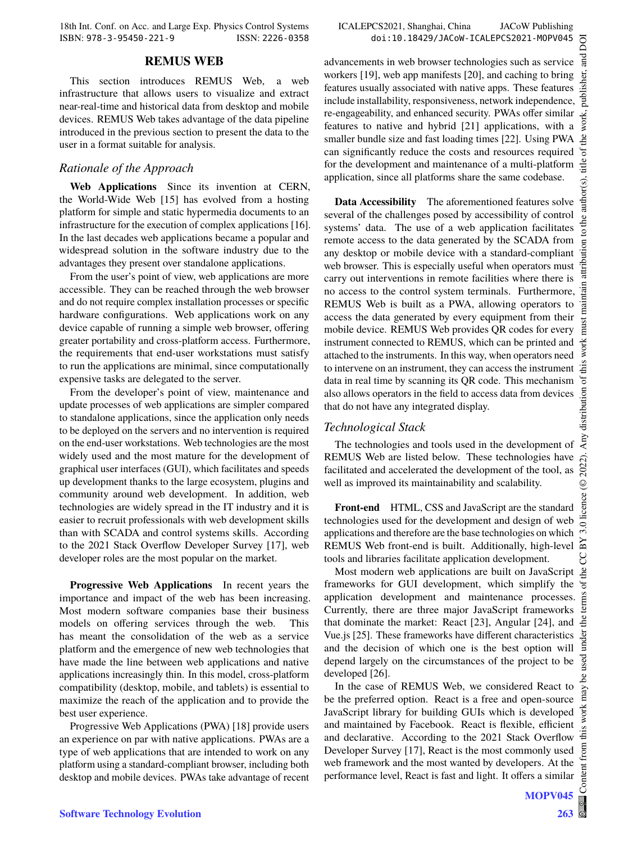18th Int. Conf. on Acc. and Large Exp. Physics Control Systems ICALEPCS2021, Shanghai, China JACoW Publishing ISBN: 978-3-95450-221-9 ISSN: 2226-0358 doi:10.18429/JACoW-ICALEPCS2021-MOPV045

#### **REMUS WEB**

This section introduces REMUS Web, a web infrastructure that allows users to visualize and extract near-real-time and historical data from desktop and mobile devices. REMUS Web takes advantage of the data pipeline introduced in the previous section to present the data to the user in a format suitable for analysis.

#### *Rationale of the Approach*

**Web Applications** Since its invention at CERN, the World-Wide Web [15] has evolved from a hosting platform for simple and static hypermedia documents to an infrastructure for the execution of complex applications [16]. In the last decades web applications became a popular and widespread solution in the software industry due to the advantages they present over standalone applications.

From the user's point of view, web applications are more accessible. They can be reached through the web browser and do not require complex installation processes or specific hardware configurations. Web applications work on any device capable of running a simple web browser, offering greater portability and cross-platform access. Furthermore, the requirements that end-user workstations must satisfy to run the applications are minimal, since computationally expensive tasks are delegated to the server.

From the developer's point of view, maintenance and update processes of web applications are simpler compared to standalone applications, since the application only needs to be deployed on the servers and no intervention is required on the end-user workstations. Web technologies are the most widely used and the most mature for the development of graphical user interfaces (GUI), which facilitates and speeds up development thanks to the large ecosystem, plugins and community around web development. In addition, web technologies are widely spread in the IT industry and it is easier to recruit professionals with web development skills than with SCADA and control systems skills. According to the 2021 Stack Overflow Developer Survey [17], web developer roles are the most popular on the market.

**Progressive Web Applications** In recent years the importance and impact of the web has been increasing. Most modern software companies base their business models on offering services through the web. This has meant the consolidation of the web as a service platform and the emergence of new web technologies that have made the line between web applications and native applications increasingly thin. In this model, cross-platform compatibility (desktop, mobile, and tablets) is essential to maximize the reach of the application and to provide the best user experience.

Progressive Web Applications (PWA) [18] provide users an experience on par with native applications. PWAs are a type of web applications that are intended to work on any platform using a standard-compliant browser, including both desktop and mobile devices. PWAs take advantage of recent

 $\odot$ 

licence

 $\sim$ 

 $\sigma$ ă ē

under

g may work this

onten

advancements in web browser technologies such as service workers [19], web app manifests [20], and caching to bring features usually associated with native apps. These features include installability, responsiveness, network independence, re-engageability, and enhanced security. PWAs offer similar features to native and hybrid [21] applications, with a smaller bundle size and fast loading times [22]. Using PWA can significantly reduce the costs and resources required for the development and maintenance of a multi-platform application, since all platforms share the same codebase.

**Data Accessibility** The aforementioned features solve several of the challenges posed by accessibility of control systems' data. The use of a web application facilitates remote access to the data generated by the SCADA from any desktop or mobile device with a standard-compliant web browser. This is especially useful when operators must carry out interventions in remote facilities where there is no access to the control system terminals. Furthermore, REMUS Web is built as a PWA, allowing operators to access the data generated by every equipment from their mobile device. REMUS Web provides QR codes for every instrument connected to REMUS, which can be printed and attached to the instruments. In this way, when operators need to intervene on an instrument, they can access the instrument data in real time by scanning its QR code. This mechanism also allows operators in the field to access data from devices that do not have any integrated display.

#### *Technological Stack*

The technologies and tools used in the development of REMUS Web are listed below. These technologies have facilitated and accelerated the development of the tool, as well as improved its maintainability and scalability.

**Front-end** HTML, CSS and JavaScript are the standard technologies used for the development and design of web applications and therefore are the base technologies on which REMUS Web front-end is built. Additionally, high-level tools and libraries facilitate application development.

Most modern web applications are built on JavaScript frameworks for GUI development, which simplify the application development and maintenance processes. Currently, there are three major JavaScript frameworks that dominate the market: React [23], Angular [24], and Vue.js [25]. These frameworks have different characteristics and the decision of which one is the best option will depend largely on the circumstances of the project to be developed [26].

In the case of REMUS Web, we considered React to be the preferred option. React is a free and open-source JavaScript library for building GUIs which is developed and maintained by Facebook. React is flexible, efficient and declarative. According to the 2021 Stack Overflow Developer Survey [17], React is the most commonly used web framework and the most wanted by developers. At the performance level, React is fast and light. It offers a similar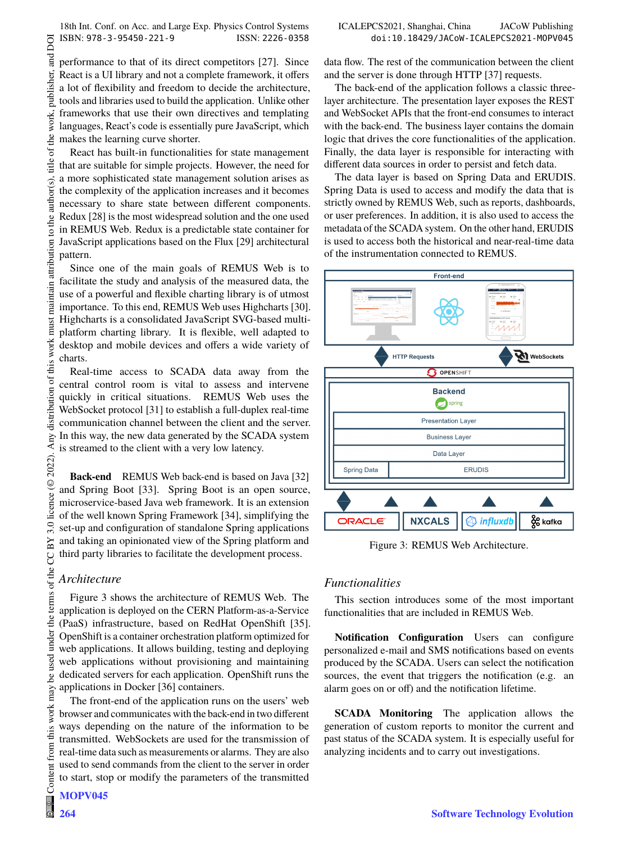DOI and 1

publisher.

title

author(s).

to the a

maintain attribution

must work

of this

distribution

Any o

 $(© 2022).$ 

3.0 licence

terms of the CC BY

under the

be used

 $\frac{1}{2}$ work this from

Content

 $\circledast$ 

Content from this work may be used under the terms of the CC BY 3.0 licence (© 2022). Any distribution of this work must maintain attribution to the author(s), title of the work, publisher, and DOI performance to that of its direct competitors [27]. Since React is a UI library and not a complete framework, it offers a lot of flexibility and freedom to decide the architecture, tools and libraries used to build the application. Unlike other work, frameworks that use their own directives and templating languages, React's code is essentially pure JavaScript, which of the makes the learning curve shorter.

React has built-in functionalities for state management that are suitable for simple projects. However, the need for a more sophisticated state management solution arises as the complexity of the application increases and it becomes necessary to share state between different components. Redux [28] is the most widespread solution and the one used in REMUS Web. Redux is a predictable state container for JavaScript applications based on the Flux [29] architectural pattern.

Since one of the main goals of REMUS Web is to facilitate the study and analysis of the measured data, the use of a powerful and flexible charting library is of utmost importance. To this end, REMUS Web uses Highcharts [30]. Highcharts is a consolidated JavaScript SVG-based multiplatform charting library. It is flexible, well adapted to desktop and mobile devices and offers a wide variety of charts.

Real-time access to SCADA data away from the central control room is vital to assess and intervene quickly in critical situations. REMUS Web uses the WebSocket protocol [31] to establish a full-duplex real-time communication channel between the client and the server. In this way, the new data generated by the SCADA system is streamed to the client with a very low latency.

**Back-end** REMUS Web back-end is based on Java [32] and Spring Boot [33]. Spring Boot is an open source, microservice-based Java web framework. It is an extension of the well known Spring Framework [34], simplifying the set-up and configuration of standalone Spring applications and taking an opinionated view of the Spring platform and third party libraries to facilitate the development process.

# *Architecture*

Figure 3 shows the architecture of REMUS Web. The application is deployed on the CERN Platform-as-a-Service (PaaS) infrastructure, based on RedHat OpenShift [35]. OpenShift is a container orchestration platform optimized for web applications. It allows building, testing and deploying web applications without provisioning and maintaining dedicated servers for each application. OpenShift runs the applications in Docker [36] containers.

The front-end of the application runs on the users' web browser and communicates with the back-end in two different ways depending on the nature of the information to be transmitted. WebSockets are used for the transmission of real-time data such as measurements or alarms. They are also used to send commands from the client to the server in order to start, stop or modify the parameters of the transmitted data flow. The rest of the communication between the client and the server is done through HTTP [37] requests.

The back-end of the application follows a classic threelayer architecture. The presentation layer exposes the REST and WebSocket APIs that the front-end consumes to interact with the back-end. The business layer contains the domain logic that drives the core functionalities of the application. Finally, the data layer is responsible for interacting with different data sources in order to persist and fetch data.

The data layer is based on Spring Data and ERUDIS. Spring Data is used to access and modify the data that is strictly owned by REMUS Web, such as reports, dashboards, or user preferences. In addition, it is also used to access the metadata of the SCADA system. On the other hand, ERUDIS is used to access both the historical and near-real-time data of the instrumentation connected to REMUS.



Figure 3: REMUS Web Architecture.

# *Functionalities*

This section introduces some of the most important functionalities that are included in REMUS Web.

**Notification Configuration** Users can configure personalized e-mail and SMS notifications based on events produced by the SCADA. Users can select the notification sources, the event that triggers the notification (e.g. an alarm goes on or off) and the notification lifetime.

**SCADA Monitoring** The application allows the generation of custom reports to monitor the current and past status of the SCADA system. It is especially useful for analyzing incidents and to carry out investigations.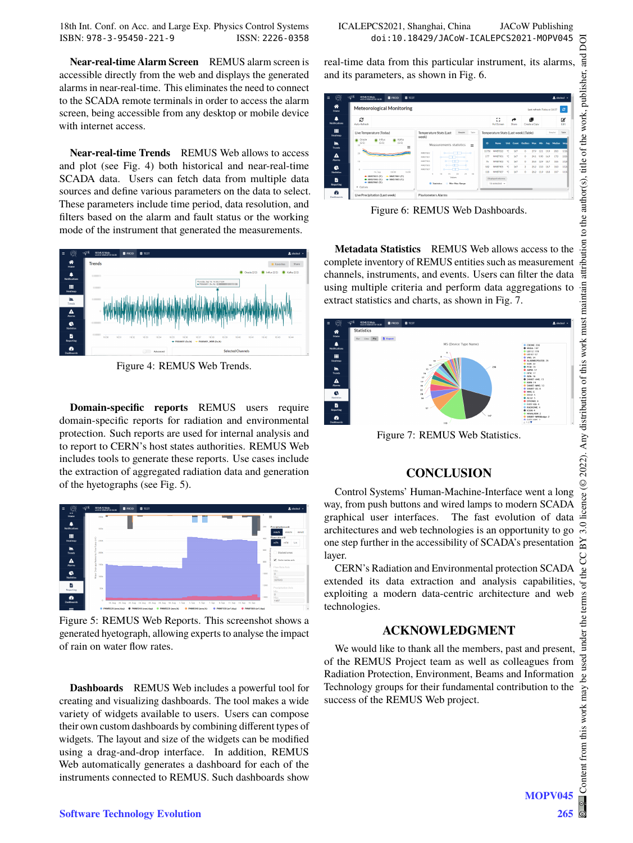**Near-real-time Alarm Screen** REMUS alarm screen is accessible directly from the web and displays the generated alarms in near-real-time. This eliminates the need to connect to the SCADA remote terminals in order to access the alarm screen, being accessible from any desktop or mobile device with internet access.

**Near-real-time Trends** REMUS Web allows to access and plot (see Fig. 4) both historical and near-real-time SCADA data. Users can fetch data from multiple data sources and define various parameters on the data to select. These parameters include time period, data resolution, and filters based on the alarm and fault status or the working mode of the instrument that generated the measurements.



Figure 4: REMUS Web Trends.

**Domain-specific reports** REMUS users require domain-specific reports for radiation and environmental protection. Such reports are used for internal analysis and to report to CERN's host states authorities. REMUS Web includes tools to generate these reports. Use cases include the extraction of aggregated radiation data and generation of the hyetographs (see Fig. 5).



Figure 5: REMUS Web Reports. This screenshot shows a generated hyetograph, allowing experts to analyse the impact of rain on water flow rates.

**Dashboards** REMUS Web includes a powerful tool for creating and visualizing dashboards. The tool makes a wide variety of widgets available to users. Users can compose their own custom dashboards by combining different types of widgets. The layout and size of the widgets can be modified using a drag-and-drop interface. In addition, REMUS Web automatically generates a dashboard for each of the instruments connected to REMUS. Such dashboards show

ISBN: 978-3-95450-221-9 ISSN: 2226-0358 doi:10.18429/JACoW-ICALEPCS2021-MOPV045

real-time data from this particular instrument, its alarms, and its parameters, as shown in Fig. 6.



Figure 6: REMUS Web Dashboards.

**Metadata Statistics** REMUS Web allows access to the complete inventory of REMUS entities such as measurement channels, instruments, and events. Users can filter the data using multiple criteria and perform data aggregations to extract statistics and charts, as shown in Fig. 7.



Figure 7: REMUS Web Statistics.

# **CONCLUSION**

Control Systems' Human-Machine-Interface went a long way, from push buttons and wired lamps to modern SCADA graphical user interfaces. The fast evolution of data architectures and web technologies is an opportunity to go one step further in the accessibility of SCADA's presentation layer.

CERN's Radiation and Environmental protection SCADA extended its data extraction and analysis capabilities, exploiting a modern data-centric architecture and web technologies.

## **ACKNOWLEDGMENT**

We would like to thank all the members, past and present, of the REMUS Project team as well as colleagues from Radiation Protection, Environment, Beams and Information Technology groups for their fundamental contribution to the success of the REMUS Web project.